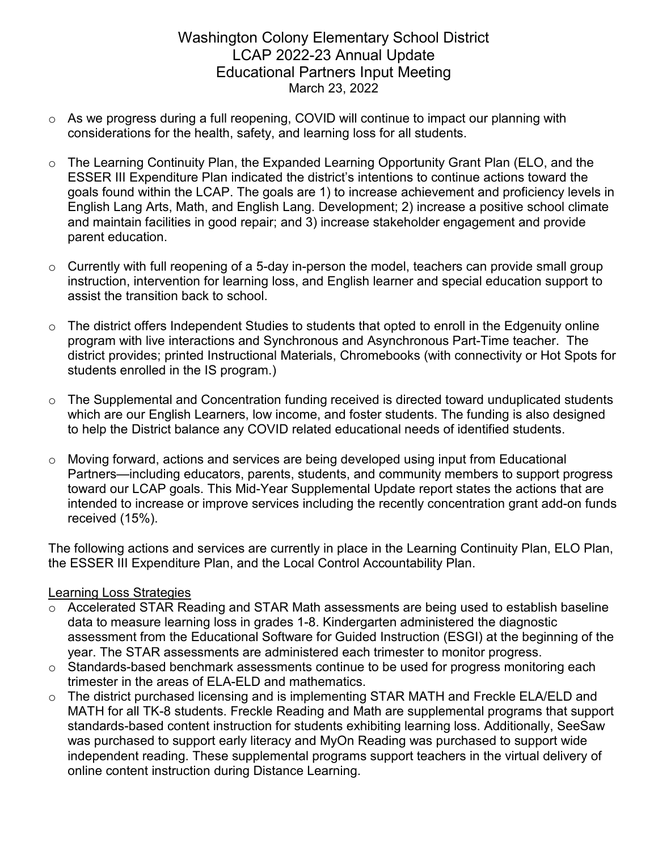# Washington Colony Elementary School District LCAP 2022-23 Annual Update Educational Partners Input Meeting March 23, 2022

- o As we progress during a full reopening, COVID will continue to impact our planning with considerations for the health, safety, and learning loss for all students.
- $\circ$  The Learning Continuity Plan, the Expanded Learning Opportunity Grant Plan (ELO, and the ESSER III Expenditure Plan indicated the district's intentions to continue actions toward the goals found within the LCAP. The goals are 1) to increase achievement and proficiency levels in English Lang Arts, Math, and English Lang. Development; 2) increase a positive school climate and maintain facilities in good repair; and 3) increase stakeholder engagement and provide parent education.
- $\circ$  Currently with full reopening of a 5-day in-person the model, teachers can provide small group instruction, intervention for learning loss, and English learner and special education support to assist the transition back to school.
- $\circ$  The district offers Independent Studies to students that opted to enroll in the Edgenuity online program with live interactions and Synchronous and Asynchronous Part-Time teacher. The district provides; printed Instructional Materials, Chromebooks (with connectivity or Hot Spots for students enrolled in the IS program.)
- $\circ$  The Supplemental and Concentration funding received is directed toward unduplicated students which are our English Learners, low income, and foster students. The funding is also designed to help the District balance any COVID related educational needs of identified students.
- o Moving forward, actions and services are being developed using input from Educational Partners—including educators, parents, students, and community members to support progress toward our LCAP goals. This Mid-Year Supplemental Update report states the actions that are intended to increase or improve services including the recently concentration grant add-on funds received (15%).

The following actions and services are currently in place in the Learning Continuity Plan, ELO Plan, the ESSER III Expenditure Plan, and the Local Control Accountability Plan.

### Learning Loss Strategies

- o Accelerated STAR Reading and STAR Math assessments are being used to establish baseline data to measure learning loss in grades 1-8. Kindergarten administered the diagnostic assessment from the Educational Software for Guided Instruction (ESGI) at the beginning of the year. The STAR assessments are administered each trimester to monitor progress.
- $\circ$  Standards-based benchmark assessments continue to be used for progress monitoring each trimester in the areas of ELA-ELD and mathematics.
- o The district purchased licensing and is implementing STAR MATH and Freckle ELA/ELD and MATH for all TK-8 students. Freckle Reading and Math are supplemental programs that support standards-based content instruction for students exhibiting learning loss. Additionally, SeeSaw was purchased to support early literacy and MyOn Reading was purchased to support wide independent reading. These supplemental programs support teachers in the virtual delivery of online content instruction during Distance Learning.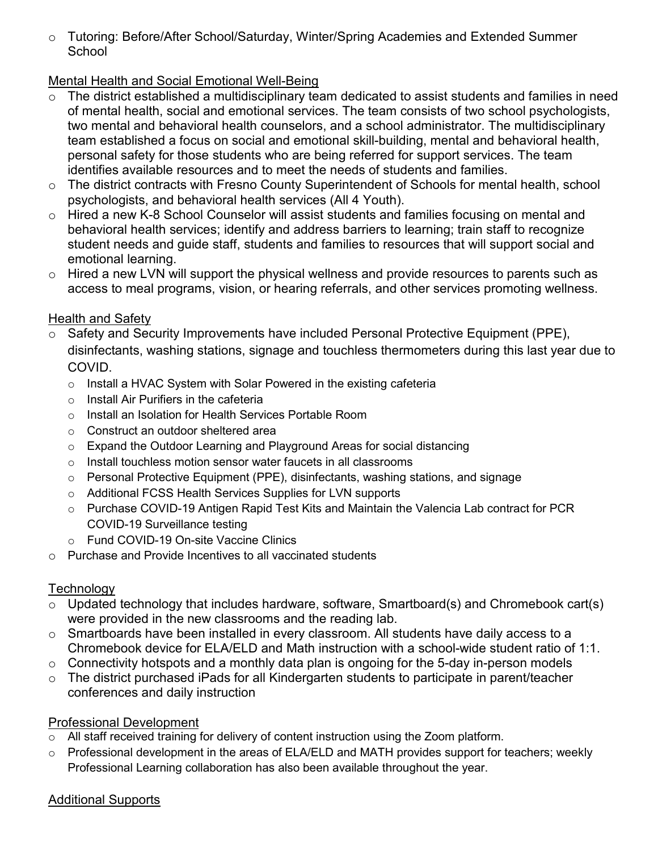o Tutoring: Before/After School/Saturday, Winter/Spring Academies and Extended Summer **School** 

## Mental Health and Social Emotional Well-Being

- o The district established a multidisciplinary team dedicated to assist students and families in need of mental health, social and emotional services. The team consists of two school psychologists, two mental and behavioral health counselors, and a school administrator. The multidisciplinary team established a focus on social and emotional skill-building, mental and behavioral health, personal safety for those students who are being referred for support services. The team identifies available resources and to meet the needs of students and families.
- o The district contracts with Fresno County Superintendent of Schools for mental health, school psychologists, and behavioral health services (All 4 Youth).
- o Hired a new K-8 School Counselor will assist students and families focusing on mental and behavioral health services; identify and address barriers to learning; train staff to recognize student needs and guide staff, students and families to resources that will support social and emotional learning.
- $\circ$  Hired a new LVN will support the physical wellness and provide resources to parents such as access to meal programs, vision, or hearing referrals, and other services promoting wellness.

### Health and Safety

- o Safety and Security Improvements have included Personal Protective Equipment (PPE), disinfectants, washing stations, signage and touchless thermometers during this last year due to COVID.
	- o Install a HVAC System with Solar Powered in the existing cafeteria
	- o Install Air Purifiers in the cafeteria
	- o Install an Isolation for Health Services Portable Room
	- o Construct an outdoor sheltered area
	- o Expand the Outdoor Learning and Playground Areas for social distancing
	- o Install touchless motion sensor water faucets in all classrooms
	- o Personal Protective Equipment (PPE), disinfectants, washing stations, and signage
	- o Additional FCSS Health Services Supplies for LVN supports
	- o Purchase COVID-19 Antigen Rapid Test Kits and Maintain the Valencia Lab contract for PCR COVID-19 Surveillance testing
	- o Fund COVID-19 On-site Vaccine Clinics
- o Purchase and Provide Incentives to all vaccinated students

### **Technology**

- o Updated technology that includes hardware, software, Smartboard(s) and Chromebook cart(s) were provided in the new classrooms and the reading lab.
- o Smartboards have been installed in every classroom. All students have daily access to a Chromebook device for ELA/ELD and Math instruction with a school-wide student ratio of 1:1.
- $\circ$  Connectivity hotspots and a monthly data plan is ongoing for the 5-day in-person models
- o The district purchased iPads for all Kindergarten students to participate in parent/teacher conferences and daily instruction

### Professional Development

- o All staff received training for delivery of content instruction using the Zoom platform.
- o Professional development in the areas of ELA/ELD and MATH provides support for teachers; weekly Professional Learning collaboration has also been available throughout the year.

### Additional Supports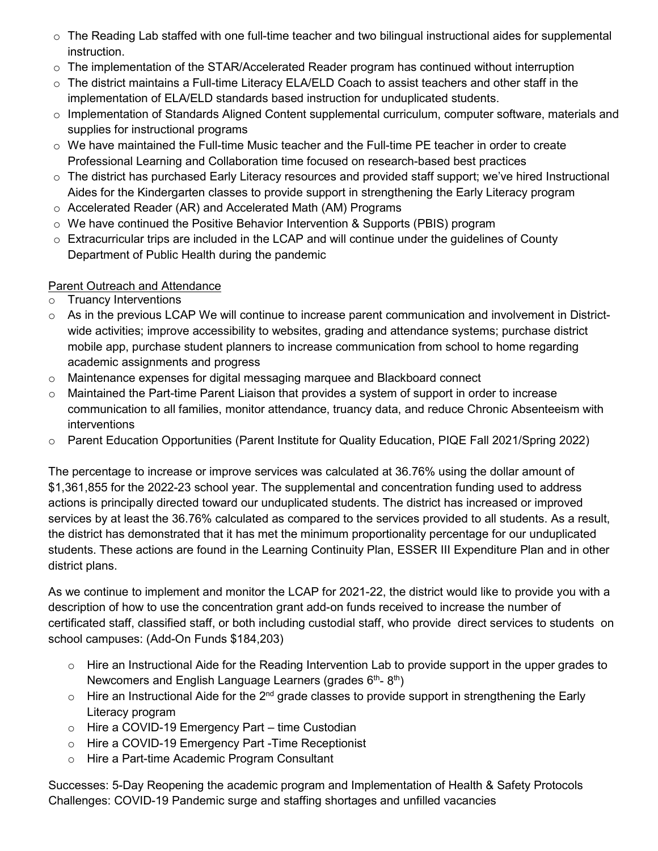- $\circ$  The Reading Lab staffed with one full-time teacher and two bilingual instructional aides for supplemental instruction.
- $\circ$  The implementation of the STAR/Accelerated Reader program has continued without interruption
- o The district maintains a Full-time Literacy ELA/ELD Coach to assist teachers and other staff in the implementation of ELA/ELD standards based instruction for unduplicated students.
- $\circ$  Implementation of Standards Aligned Content supplemental curriculum, computer software, materials and supplies for instructional programs
- $\circ$  We have maintained the Full-time Music teacher and the Full-time PE teacher in order to create Professional Learning and Collaboration time focused on research-based best practices
- o The district has purchased Early Literacy resources and provided staff support; we've hired Instructional Aides for the Kindergarten classes to provide support in strengthening the Early Literacy program
- o Accelerated Reader (AR) and Accelerated Math (AM) Programs
- $\circ$  We have continued the Positive Behavior Intervention & Supports (PBIS) program
- $\circ$  Extracurricular trips are included in the LCAP and will continue under the guidelines of County Department of Public Health during the pandemic

## Parent Outreach and Attendance

- o Truancy Interventions
- $\circ$  As in the previous LCAP We will continue to increase parent communication and involvement in Districtwide activities; improve accessibility to websites, grading and attendance systems; purchase district mobile app, purchase student planners to increase communication from school to home regarding academic assignments and progress
- o Maintenance expenses for digital messaging marquee and Blackboard connect
- $\circ$  Maintained the Part-time Parent Liaison that provides a system of support in order to increase communication to all families, monitor attendance, truancy data, and reduce Chronic Absenteeism with interventions
- o Parent Education Opportunities (Parent Institute for Quality Education, PIQE Fall 2021/Spring 2022)

The percentage to increase or improve services was calculated at 36.76% using the dollar amount of \$1,361,855 for the 2022-23 school year. The supplemental and concentration funding used to address actions is principally directed toward our unduplicated students. The district has increased or improved services by at least the 36.76% calculated as compared to the services provided to all students. As a result, the district has demonstrated that it has met the minimum proportionality percentage for our unduplicated students. These actions are found in the Learning Continuity Plan, ESSER III Expenditure Plan and in other district plans.

As we continue to implement and monitor the LCAP for 2021-22, the district would like to provide you with a description of how to use the concentration grant add-on funds received to increase the number of certificated staff, classified staff, or both including custodial staff, who provide direct services to students on school campuses: (Add-On Funds \$184,203)

- o Hire an Instructional Aide for the Reading Intervention Lab to provide support in the upper grades to Newcomers and English Language Learners (grades  $6<sup>th</sup>$ -  $8<sup>th</sup>$ )
- $\circ$  Hire an Instructional Aide for the 2<sup>nd</sup> grade classes to provide support in strengthening the Early Literacy program
- o Hire a COVID-19 Emergency Part time Custodian
- o Hire a COVID-19 Emergency Part -Time Receptionist
- o Hire a Part-time Academic Program Consultant

Successes: 5-Day Reopening the academic program and Implementation of Health & Safety Protocols Challenges: COVID-19 Pandemic surge and staffing shortages and unfilled vacancies